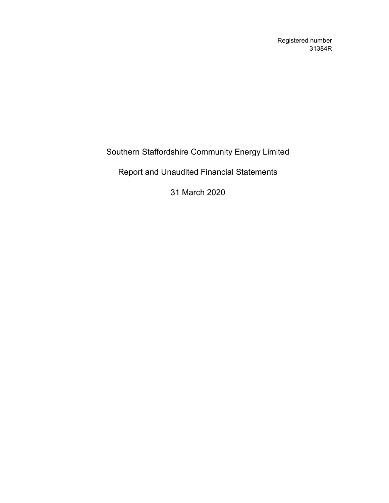Registered number 31384R

Southern Staffordshire Community Energy Limited

Report and Unaudited Financial Statements

31 March 2020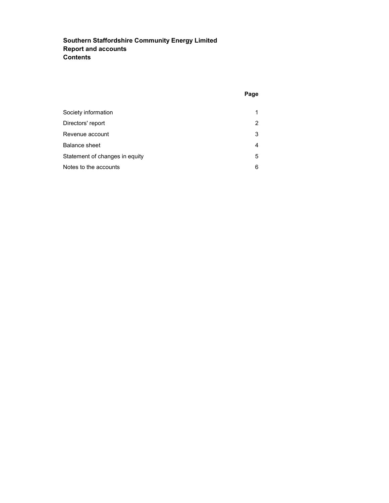# Southern Staffordshire Community Energy Limited Report and accounts **Contents**

| Society information            | 1 |
|--------------------------------|---|
| Directors' report              | 2 |
| Revenue account                | 3 |
| <b>Balance sheet</b>           | 4 |
| Statement of changes in equity | 5 |
| Notes to the accounts          | 6 |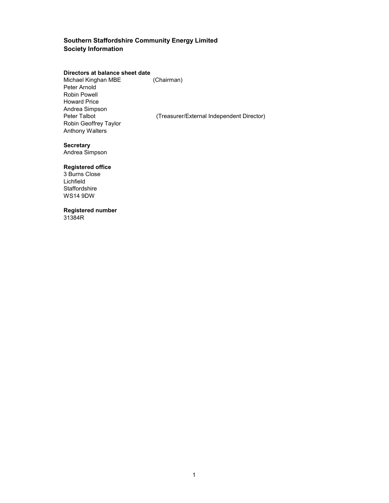### Southern Staffordshire Community Energy Limited Society Information

#### Directors at balance sheet date

Michael Kinghan MBE (Chairman) Peter Arnold Robin Powell Howard Price Andrea Simpson Robin Geoffrey Taylor Anthony Walters

(Treasurer/External Independent Director)

### **Secretary**

Andrea Simpson

## Registered office

3 Burns Close Lichfield **Staffordshire** WS14 9DW

## Registered number

31384R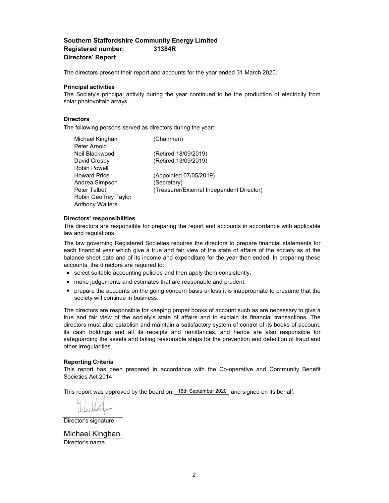### Southern Staffordshire Community Energy Limited Registered number: 31384R Directors' Report

The directors present their report and accounts for the year ended 31 March 2020.

#### Principal activities

The Society's principal activity during the year continued to be the production of electricity from solar photovoltaic arrays.

### **Directors**

The following persons served as directors during the year:

| Michael Kinghan        | (Chairman)                                |
|------------------------|-------------------------------------------|
| Peter Arnold           |                                           |
| Neil Blackwood         | (Retired 18/09/2019)                      |
| David Crosby           | (Retired 13/09/2019)                      |
| Robin Powell           |                                           |
| <b>Howard Price</b>    | (Appointed 07/05/2019)                    |
| Andrea Simpson         | (Secretary)                               |
| Peter Talbot           | (Treasurer/External Independent Director) |
| Robin Geoffrey Taylor  |                                           |
| <b>Anthony Walters</b> |                                           |
|                        |                                           |

#### Directors' responsibilities

The directors are responsible for preparing the report and accounts in accordance with applicable law and regulations.

The law governing Registered Societies requires the directors to prepare financial statements for each financial year which give a true and fair view of the state of affairs of the society as at the balance sheet date and of its income and expenditure for the year then ended. In preparing these accounts, the directors are required to:

- select suitable accounting policies and then apply them consistently;
- make judgements and estimates that are reasonable and prudent;
- prepare the accounts on the going concern basis unless it is inappropriate to presume that the society will continue in business.

The directors are responsible for keeping proper books of account such as are necessary to give a true and fair view of the society's state of affairs and to explain its financial transactions. The directors must also establish and maintain a satisfactory system of control of its books of account, its cash holdings and all its receipts and remittances, and hence are also responsible for safeguarding the assets and taking reasonable steps for the prevention and detection of fraud and other irregularities.

#### Reporting Criteria

This report has been prepared in accordance with the Co-operative and Community Benefit Societies Act 2014.

This report was approved by the board on  $\overline{\phantom{a}}$  16th September 2020 and signed on its behalf.

Director's signature

Director's name Michael Kinghan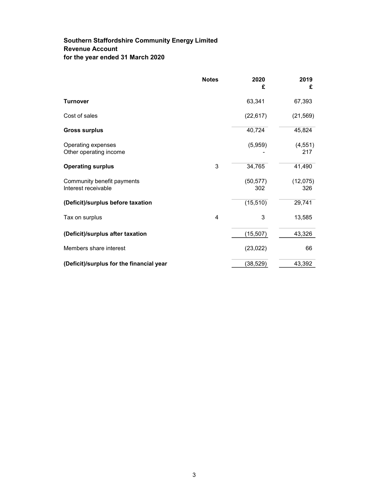## Southern Staffordshire Community Energy Limited Revenue Account for the year ended 31 March 2020

|                                                   | <b>Notes</b>   | 2020<br>£        | 2019<br>£       |
|---------------------------------------------------|----------------|------------------|-----------------|
| <b>Turnover</b>                                   |                | 63,341           | 67,393          |
| Cost of sales                                     |                | (22, 617)        | (21, 569)       |
| <b>Gross surplus</b>                              |                | 40,724           | 45,824          |
| Operating expenses<br>Other operating income      |                | (5,959)          | (4, 551)<br>217 |
| <b>Operating surplus</b>                          | 3              | 34,765           | 41,490          |
| Community benefit payments<br>Interest receivable |                | (50, 577)<br>302 | (12,075)<br>326 |
| (Deficit)/surplus before taxation                 |                | (15, 510)        | 29,741          |
| Tax on surplus                                    | $\overline{4}$ | 3                | 13,585          |
| (Deficit)/surplus after taxation                  |                | (15, 507)        | 43,326          |
| Members share interest                            |                | (23, 022)        | 66              |
| (Deficit)/surplus for the financial year          |                | (38, 529)        | 43,392          |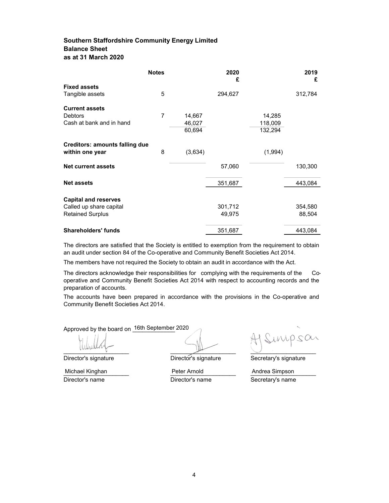## Southern Staffordshire Community Energy Limited Balance Sheet as at 31 March 2020

|                                       | <b>Notes</b>   |         | 2020<br>£ |         | 2019<br>£ |
|---------------------------------------|----------------|---------|-----------|---------|-----------|
| <b>Fixed assets</b>                   |                |         |           |         |           |
| Tangible assets                       | 5              |         | 294,627   |         | 312,784   |
| <b>Current assets</b>                 |                |         |           |         |           |
| <b>Debtors</b>                        | $\overline{7}$ | 14,667  |           | 14,285  |           |
| Cash at bank and in hand              |                | 46,027  |           | 118,009 |           |
|                                       |                | 60,694  |           | 132,294 |           |
| <b>Creditors: amounts falling due</b> |                |         |           |         |           |
| within one year                       | 8              | (3,634) |           | (1,994) |           |
| <b>Net current assets</b>             |                |         | 57,060    |         | 130,300   |
| <b>Net assets</b>                     |                |         | 351,687   |         | 443,084   |
|                                       |                |         |           |         |           |
| <b>Capital and reserves</b>           |                |         |           |         |           |
| Called up share capital               |                |         | 301,712   |         | 354,580   |
| <b>Retained Surplus</b>               |                |         | 49,975    |         | 88,504    |
| <b>Shareholders' funds</b>            |                |         | 351,687   |         | 443,084   |

The directors are satisfied that the Society is entitled to exemption from the requirement to obtain an audit under section 84 of the Co-operative and Community Benefit Societies Act 2014.

The members have not required the Society to obtain an audit in accordance with the Act.

The directors acknowledge their responsibilities for complying with the requirements of the Cooperative and Community Benefit Societies Act 2014 with respect to accounting records and the preparation of accounts.

The accounts have been prepared in accordance with the provisions in the Co-operative and Community Benefit Societies Act 2014.

Approved by the board on 16th September 2020

Michael Kinghan

D.CC  $\overline{\phantom{a}}$ 

Director's signature Director's signature Secretary's signature

\_\_\_\_\_\_\_\_\_\_\_\_\_\_\_\_\_\_\_\_ \_\_\_\_\_\_\_\_\_\_\_\_\_\_\_\_\_\_\_\_ \_\_\_\_\_\_\_\_\_\_\_\_\_\_\_\_\_\_\_\_ Peter Arnold Andrea Simpson

Director's name **Director's name** Secretary's name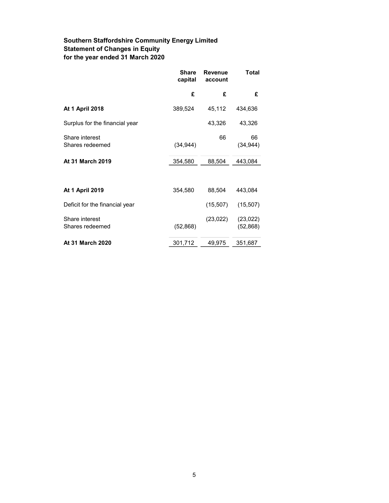# Southern Staffordshire Community Energy Limited Statement of Changes in Equity for the year ended 31 March 2020

| <b>Share</b><br>capital | <b>Revenue</b><br>account | Total                  |
|-------------------------|---------------------------|------------------------|
| £                       | £                         | £                      |
| 389,524                 | 45,112                    | 434,636                |
|                         | 43,326                    | 43,326                 |
| (34, 944)               | 66                        | 66<br>(34, 944)        |
| 354,580                 | 88,504                    | 443,084                |
|                         |                           |                        |
| 354,580                 | 88,504                    | 443,084                |
|                         | (15,507)                  | (15,507)               |
| (52, 868)               | (23, 022)                 | (23, 022)<br>(52, 868) |
| 301,712                 | 49,975                    | 351,687                |
|                         |                           |                        |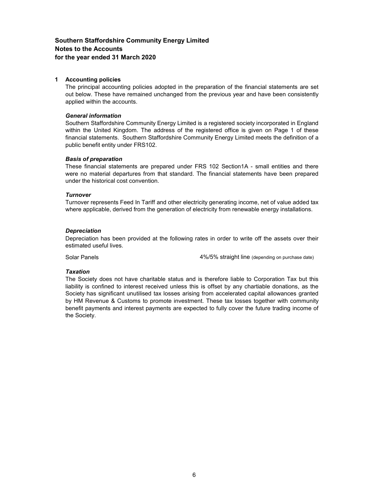### Southern Staffordshire Community Energy Limited Notes to the Accounts for the year ended 31 March 2020

#### 1 Accounting policies

The principal accounting policies adopted in the preparation of the financial statements are set out below. These have remained unchanged from the previous year and have been consistently applied within the accounts.

#### General information

Southern Staffordshire Community Energy Limited is a registered society incorporated in England within the United Kingdom. The address of the registered office is given on Page 1 of these financial statements. Southern Staffordshire Community Energy Limited meets the definition of a public benefit entity under FRS102.

### Basis of preparation

These financial statements are prepared under FRS 102 Section1A - small entities and there were no material departures from that standard. The financial statements have been prepared under the historical cost convention.

### **Turnover**

Turnover represents Feed In Tariff and other electricity generating income, net of value added tax where applicable, derived from the generation of electricity from renewable energy installations.

### **Depreciation**

Depreciation has been provided at the following rates in order to write off the assets over their estimated useful lives.

Solar Panels **1988** Solar Panels **1988** A 4%/5% straight line (depending on purchase date)

#### Taxation

The Society does not have charitable status and is therefore liable to Corporation Tax but this liability is confined to interest received unless this is offset by any chartiable donations, as the Society has significant unutilised tax losses arising from accelerated capital allowances granted by HM Revenue & Customs to promote investment. These tax losses together with community benefit payments and interest payments are expected to fully cover the future trading income of the Society.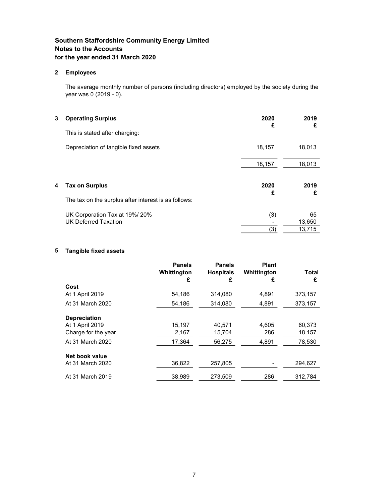## Southern Staffordshire Community Energy Limited Notes to the Accounts for the year ended 31 March 2020

### 2 Employees

The average monthly number of persons (including directors) employed by the society during the year was 0 (2019 - 0).

| 3 | <b>Operating Surplus</b>                                     | 2020<br>£ | 2019<br>£    |
|---|--------------------------------------------------------------|-----------|--------------|
|   | This is stated after charging:                               |           |              |
|   | Depreciation of tangible fixed assets                        | 18,157    | 18,013       |
|   |                                                              | 18,157    | 18,013       |
| 4 | <b>Tax on Surplus</b>                                        | 2020<br>£ | 2019<br>£    |
|   | The tax on the surplus after interest is as follows:         |           |              |
|   | UK Corporation Tax at 19%/20%<br><b>UK Deferred Taxation</b> | (3)       | 65<br>13,650 |
|   |                                                              | (3)       | 13,715       |

### 5 Tangible fixed assets

|                     | <b>Panels</b><br>Whittington<br>£ | <b>Panels</b><br><b>Hospitals</b><br>£ | <b>Plant</b><br>Whittington<br>£ | <b>Total</b><br>£ |
|---------------------|-----------------------------------|----------------------------------------|----------------------------------|-------------------|
| Cost                |                                   |                                        |                                  |                   |
| At 1 April 2019     | 54,186                            | 314,080                                | 4,891                            | 373,157           |
| At 31 March 2020    | 54,186                            | 314,080                                | 4,891                            | 373,157           |
| <b>Depreciation</b> |                                   |                                        |                                  |                   |
| At 1 April 2019     | 15.197                            | 40.571                                 | 4.605                            | 60.373            |
| Charge for the year | 2,167                             | 15,704                                 | 286                              | 18,157            |
| At 31 March 2020    | 17.364                            | 56,275                                 | 4,891                            | 78,530            |
| Net book value      |                                   |                                        |                                  |                   |
| At 31 March 2020    | 36,822                            | 257,805                                |                                  | 294,627           |
| At 31 March 2019    | 38.989                            | 273.509                                | 286                              | 312,784           |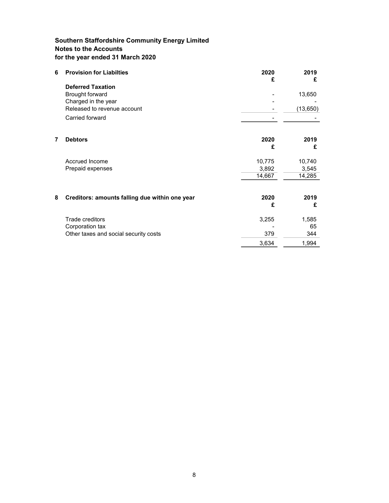## Southern Staffordshire Community Energy Limited Notes to the Accounts for the year ended 31 March 2020

| 2020<br>£ | 2019<br>£     |
|-----------|---------------|
|           |               |
|           | 13,650        |
|           | (13,650)      |
|           |               |
|           |               |
| 2020      | 2019          |
| £         | £             |
| 10,775    | 10,740        |
| 3,892     | 3,545         |
|           | 14,285        |
| 2020      | 2019          |
| £         | £             |
| 3,255     | 1,585         |
|           | 65            |
|           | 344           |
| 3,634     | 1,994         |
|           | 14,667<br>379 |